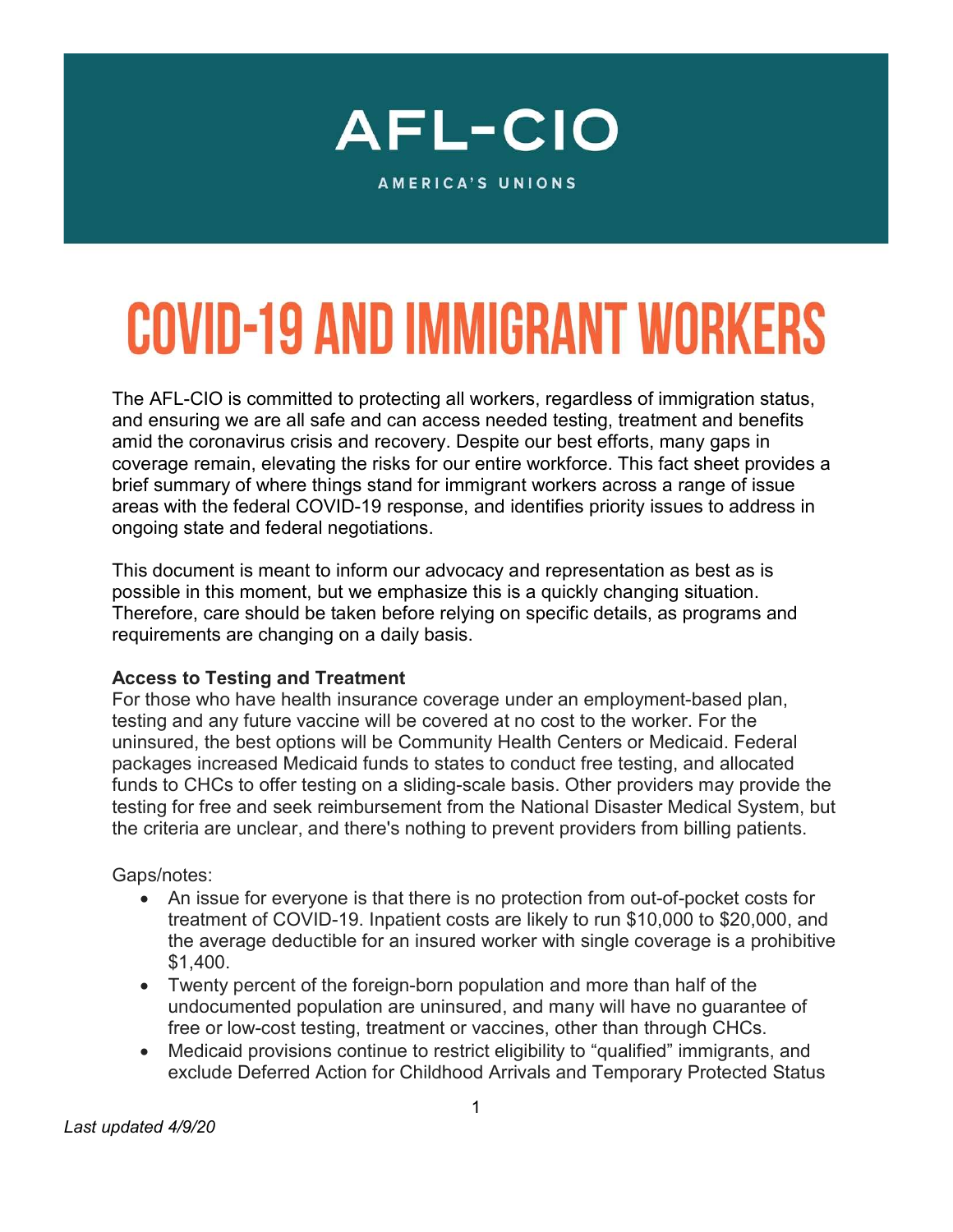

AMERICA'S UNIONS

# **COVID-19 AND IMMIGRANT WORKERS**

The AFL-CIO is committed to protecting all workers, regardless of immigration status, and ensuring we are all safe and can access needed testing, treatment and benefits amid the coronavirus crisis and recovery. Despite our best efforts, many gaps in coverage remain, elevating the risks for our entire workforce. This fact sheet provides a brief summary of where things stand for immigrant workers across a range of issue areas with the federal COVID-19 response, and identifies priority issues to address in ongoing state and federal negotiations.

This document is meant to inform our advocacy and representation as best as is possible in this moment, but we emphasize this is a quickly changing situation. Therefore, care should be taken before relying on specific details, as programs and requirements are changing on a daily basis.

#### Access to Testing and Treatment

For those who have health insurance coverage under an employment-based plan, testing and any future vaccine will be covered at no cost to the worker. For the uninsured, the best options will be Community Health Centers or Medicaid. Federal packages increased Medicaid funds to states to conduct free testing, and allocated funds to CHCs to offer testing on a sliding-scale basis. Other providers may provide the testing for free and seek reimbursement from the National Disaster Medical System, but the criteria are unclear, and there's nothing to prevent providers from billing patients.

#### Gaps/notes:

- An issue for everyone is that there is no protection from out-of-pocket costs for treatment of COVID-19. Inpatient costs are likely to run \$10,000 to \$20,000, and the average deductible for an insured worker with single coverage is a prohibitive \$1,400.
- Twenty percent of the foreign-born population and more than half of the undocumented population are uninsured, and many will have no guarantee of free or low-cost testing, treatment or vaccines, other than through CHCs.
- Medicaid provisions continue to restrict eligibility to "qualified" immigrants, and exclude Deferred Action for Childhood Arrivals and Temporary Protected Status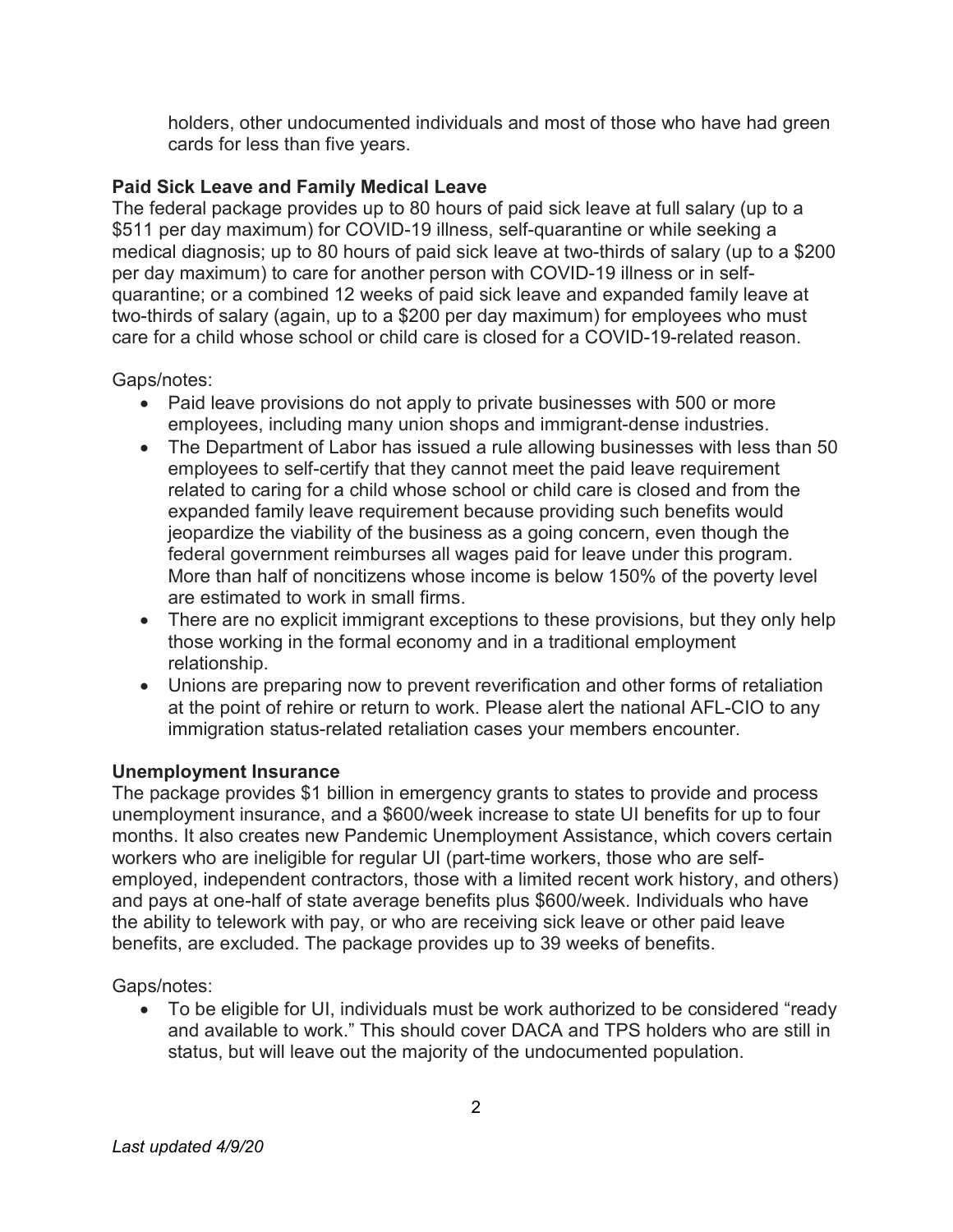holders, other undocumented individuals and most of those who have had green cards for less than five years.

# Paid Sick Leave and Family Medical Leave

The federal package provides up to 80 hours of paid sick leave at full salary (up to a \$511 per day maximum) for COVID-19 illness, self-quarantine or while seeking a medical diagnosis; up to 80 hours of paid sick leave at two-thirds of salary (up to a \$200 per day maximum) to care for another person with COVID-19 illness or in selfquarantine; or a combined 12 weeks of paid sick leave and expanded family leave at two-thirds of salary (again, up to a \$200 per day maximum) for employees who must care for a child whose school or child care is closed for a COVID-19-related reason.

Gaps/notes:

- Paid leave provisions do not apply to private businesses with 500 or more employees, including many union shops and immigrant-dense industries.
- The Department of Labor has issued a rule allowing businesses with less than 50 employees to self-certify that they cannot meet the paid leave requirement related to caring for a child whose school or child care is closed and from the expanded family leave requirement because providing such benefits would jeopardize the viability of the business as a going concern, even though the federal government reimburses all wages paid for leave under this program. More than half of noncitizens whose income is below 150% of the poverty level are estimated to work in small firms.
- There are no explicit immigrant exceptions to these provisions, but they only help those working in the formal economy and in a traditional employment relationship.
- Unions are preparing now to prevent reverification and other forms of retaliation at the point of rehire or return to work. Please alert the national AFL-CIO to any immigration status-related retaliation cases your members encounter.

# Unemployment Insurance

The package provides \$1 billion in emergency grants to states to provide and process unemployment insurance, and a \$600/week increase to state UI benefits for up to four months. It also creates new Pandemic Unemployment Assistance, which covers certain workers who are ineligible for regular UI (part-time workers, those who are selfemployed, independent contractors, those with a limited recent work history, and others) and pays at one-half of state average benefits plus \$600/week. Individuals who have the ability to telework with pay, or who are receiving sick leave or other paid leave benefits, are excluded. The package provides up to 39 weeks of benefits.

Gaps/notes:

 To be eligible for UI, individuals must be work authorized to be considered "ready and available to work." This should cover DACA and TPS holders who are still in status, but will leave out the majority of the undocumented population.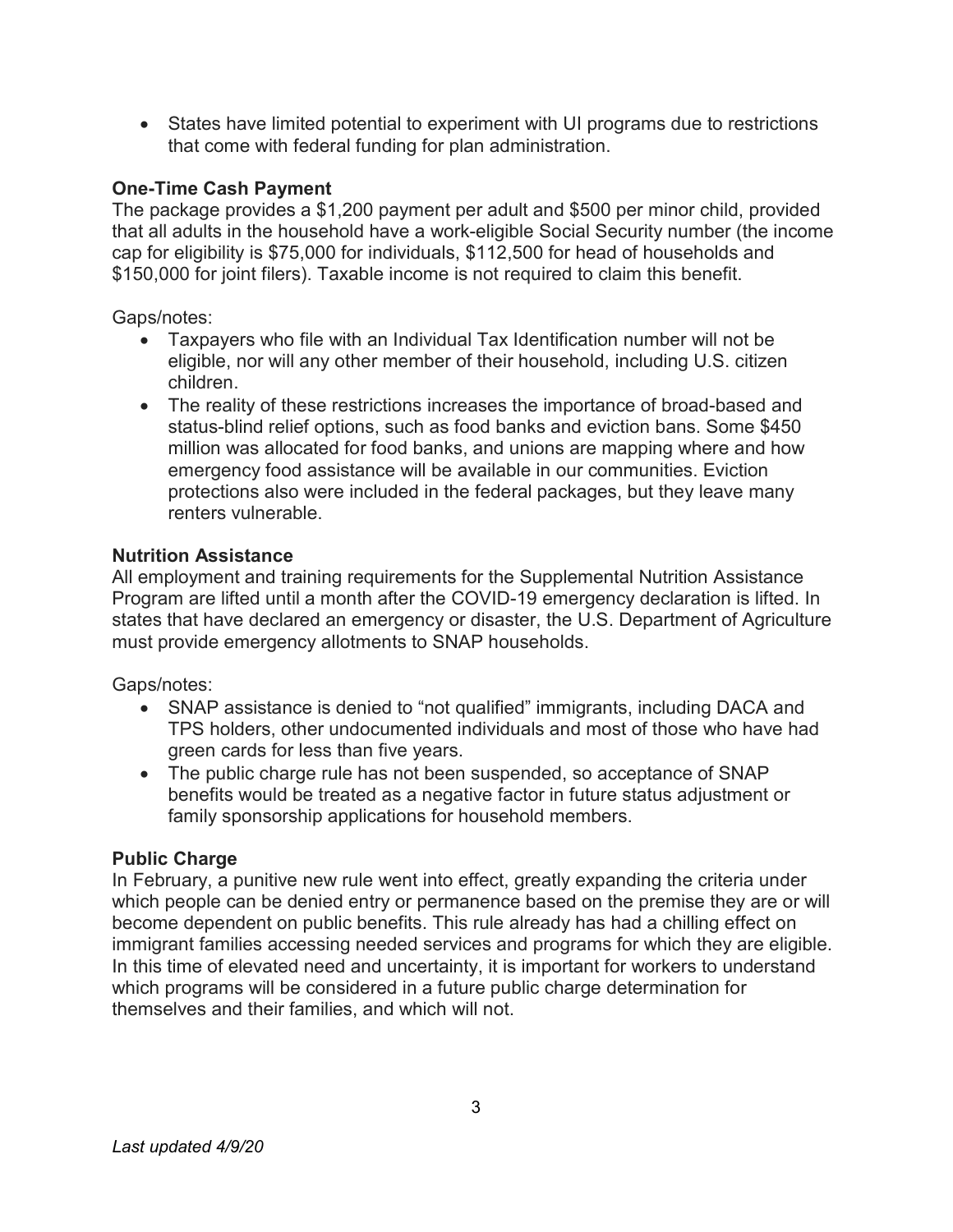States have limited potential to experiment with UI programs due to restrictions that come with federal funding for plan administration.

# One-Time Cash Payment

The package provides a \$1,200 payment per adult and \$500 per minor child, provided that all adults in the household have a work-eligible Social Security number (the income cap for eligibility is \$75,000 for individuals, \$112,500 for head of households and \$150,000 for joint filers). Taxable income is not required to claim this benefit.

# Gaps/notes:

- Taxpayers who file with an Individual Tax Identification number will not be eligible, nor will any other member of their household, including U.S. citizen children.
- The reality of these restrictions increases the importance of broad-based and status-blind relief options, such as food banks and eviction bans. Some \$450 million was allocated for food banks, and unions are mapping where and how emergency food assistance will be available in our communities. Eviction protections also were included in the federal packages, but they leave many renters vulnerable.

# Nutrition Assistance

All employment and training requirements for the Supplemental Nutrition Assistance Program are lifted until a month after the COVID-19 emergency declaration is lifted. In states that have declared an emergency or disaster, the U.S. Department of Agriculture must provide emergency allotments to SNAP households.

Gaps/notes:

- SNAP assistance is denied to "not qualified" immigrants, including DACA and TPS holders, other undocumented individuals and most of those who have had green cards for less than five years.
- The public charge rule has not been suspended, so acceptance of SNAP benefits would be treated as a negative factor in future status adjustment or family sponsorship applications for household members.

# **Public Charge**

In February, a punitive new rule went into effect, greatly expanding the criteria under which people can be denied entry or permanence based on the premise they are or will become dependent on public benefits. This rule already has had a chilling effect on immigrant families accessing needed services and programs for which they are eligible. In this time of elevated need and uncertainty, it is important for workers to understand which programs will be considered in a future public charge determination for themselves and their families, and which will not.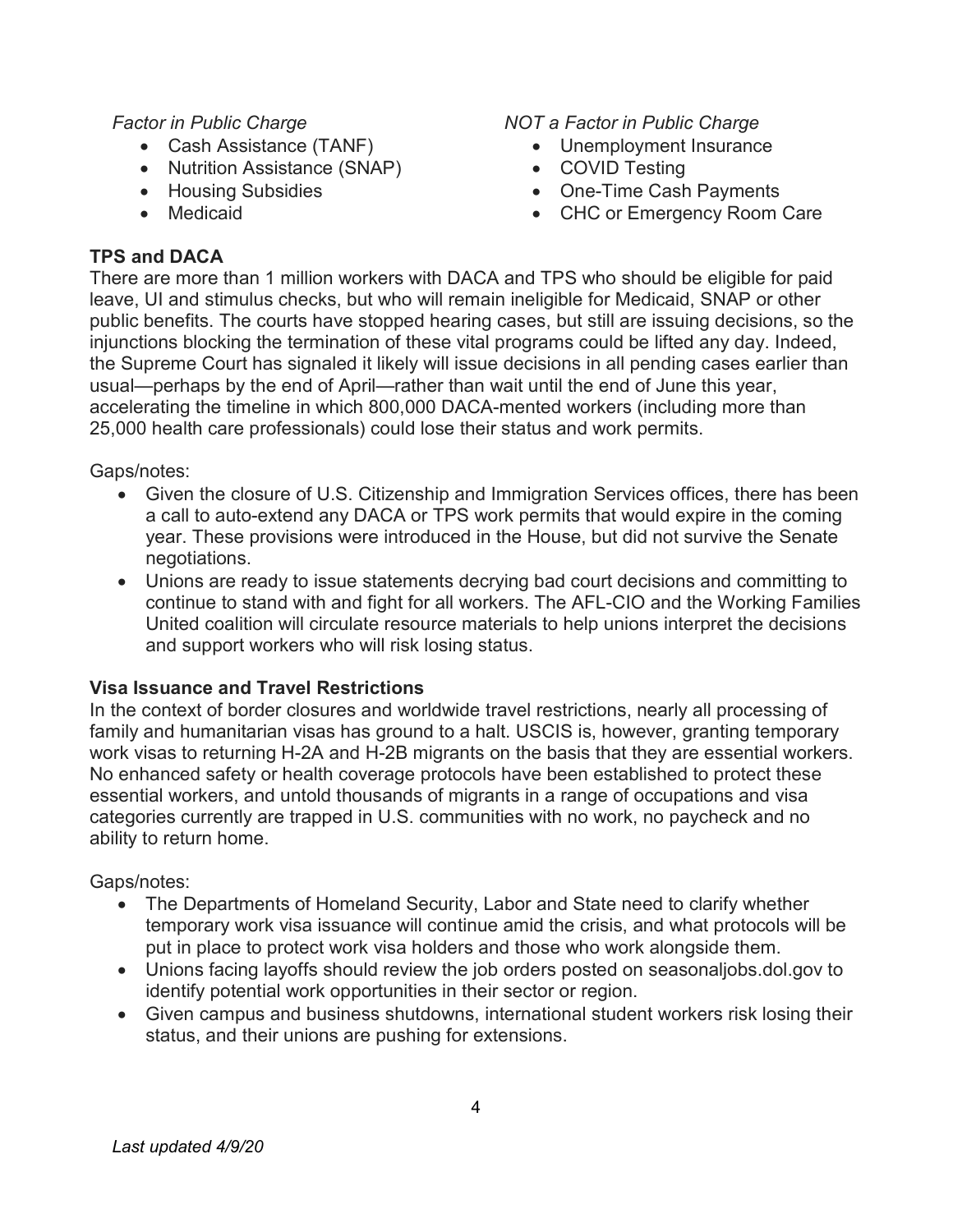## Factor in Public Charge

- Cash Assistance (TANF)
- Nutrition Assistance (SNAP)
- Housing Subsidies
- Medicaid

## TPS and DACA

## NOT a Factor in Public Charge

- Unemployment Insurance
- COVID Testing
- One-Time Cash Payments
- CHC or Emergency Room Care

There are more than 1 million workers with DACA and TPS who should be eligible for paid leave, UI and stimulus checks, but who will remain ineligible for Medicaid, SNAP or other public benefits. The courts have stopped hearing cases, but still are issuing decisions, so the injunctions blocking the termination of these vital programs could be lifted any day. Indeed, the Supreme Court has signaled it likely will issue decisions in all pending cases earlier than usual—perhaps by the end of April—rather than wait until the end of June this year, accelerating the timeline in which 800,000 DACA-mented workers (including more than 25,000 health care professionals) could lose their status and work permits.

## Gaps/notes:

- Given the closure of U.S. Citizenship and Immigration Services offices, there has been a call to auto-extend any DACA or TPS work permits that would expire in the coming year. These provisions were introduced in the House, but did not survive the Senate negotiations.
- Unions are ready to issue statements decrying bad court decisions and committing to continue to stand with and fight for all workers. The AFL-CIO and the Working Families United coalition will circulate resource materials to help unions interpret the decisions and support workers who will risk losing status.

# Visa Issuance and Travel Restrictions

In the context of border closures and worldwide travel restrictions, nearly all processing of family and humanitarian visas has ground to a halt. USCIS is, however, granting temporary work visas to returning H-2A and H-2B migrants on the basis that they are essential workers. No enhanced safety or health coverage protocols have been established to protect these essential workers, and untold thousands of migrants in a range of occupations and visa categories currently are trapped in U.S. communities with no work, no paycheck and no ability to return home.

# Gaps/notes:

- The Departments of Homeland Security, Labor and State need to clarify whether temporary work visa issuance will continue amid the crisis, and what protocols will be put in place to protect work visa holders and those who work alongside them.
- Unions facing layoffs should review the job orders posted on seasonaljobs.dol.gov to identify potential work opportunities in their sector or region.
- Given campus and business shutdowns, international student workers risk losing their status, and their unions are pushing for extensions.